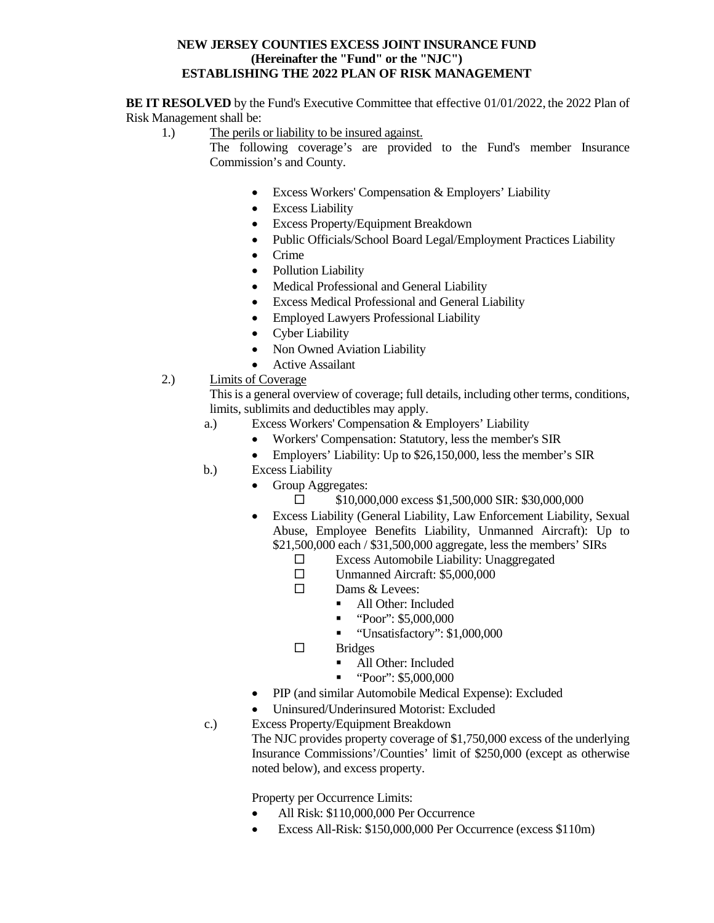### **NEW JERSEY COUNTIES EXCESS JOINT INSURANCE FUND (Hereinafter the "Fund" or the "NJC") ESTABLISHING THE 2022 PLAN OF RISK MANAGEMENT**

**BE IT RESOLVED** by the Fund's Executive Committee that effective 01/01/2022, the 2022 Plan of Risk Management shall be:

- 1.) The perils or liability to be insured against.
	- The following coverage's are provided to the Fund's member Insurance Commission's and County.
		- Excess Workers' Compensation & Employers' Liability
		- Excess Liability
		- Excess Property/Equipment Breakdown
		- Public Officials/School Board Legal/Employment Practices Liability
		- Crime
		- Pollution Liability
		- Medical Professional and General Liability
		- Excess Medical Professional and General Liability
		- Employed Lawyers Professional Liability
		- Cyber Liability
		- Non Owned Aviation Liability
		- Active Assailant
- 2.) Limits of Coverage

This is a general overview of coverage; full details, including other terms, conditions, limits, sublimits and deductibles may apply.

- a.) Excess Workers' Compensation & Employers' Liability
	- Workers' Compensation: Statutory, less the member's SIR
	- Employers' Liability: Up to \$26,150,000, less the member's SIR
- b.) Excess Liability
	- Group Aggregates:
		- $\Box$  \$10,000,000 excess \$1,500,000 SIR: \$30,000,000
	- Excess Liability (General Liability, Law Enforcement Liability, Sexual Abuse, Employee Benefits Liability, Unmanned Aircraft): Up to \$21,500,000 each / \$31,500,000 aggregate, less the members' SIRs
		- $\square$  Excess Automobile Liability: Unaggregated
		- Unmanned Aircraft: \$5,000,000
		- $\square$  Dams & Levees:
			- All Other: Included
			- "Poor": \$5,000,000
			- "Unsatisfactory": \$1,000,000
		- $\square$  Bridges
			- All Other: Included
			- $\bullet$  "Poor": \$5,000,000
	- PIP (and similar Automobile Medical Expense): Excluded
	- Uninsured/Underinsured Motorist: Excluded
- c.) Excess Property/Equipment Breakdown

The NJC provides property coverage of \$1,750,000 excess of the underlying Insurance Commissions'/Counties' limit of \$250,000 (except as otherwise noted below), and excess property.

Property per Occurrence Limits:

- All Risk: \$110,000,000 Per Occurrence
- Excess All-Risk: \$150,000,000 Per Occurrence (excess \$110m)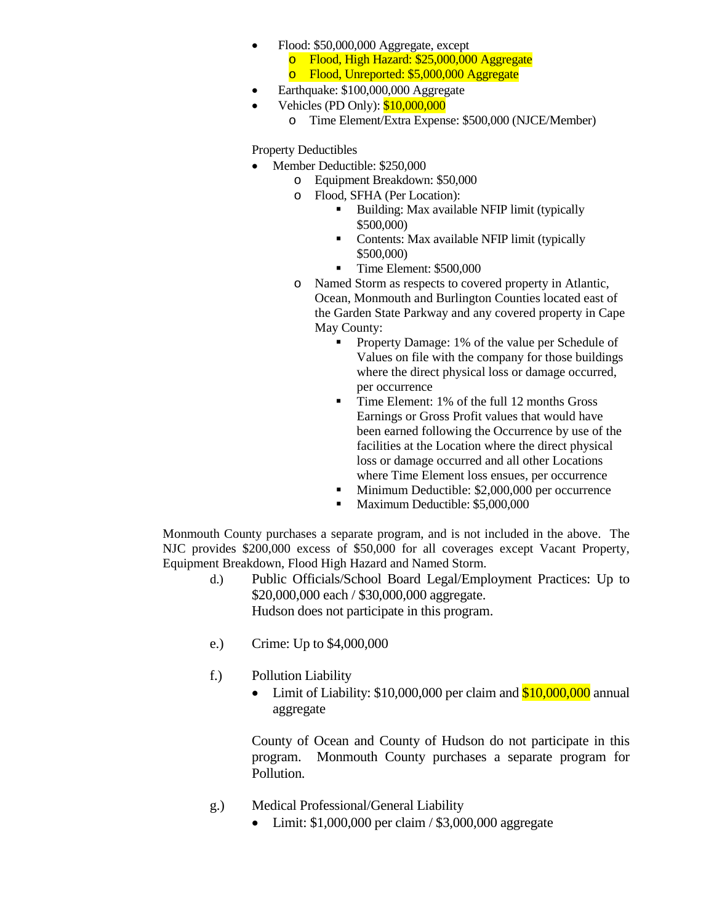- Flood: \$50,000,000 Aggregate, except o Flood, High Hazard: \$25,000,000 Aggregate Flood, Unreported: \$5,000,000 Aggregate
- Earthquake: \$100,000,000 Aggregate
- Vehicles (PD Only): \$10,000,000
	- o Time Element/Extra Expense: \$500,000 (NJCE/Member)

# Property Deductibles

- Member Deductible: \$250,000
	- o Equipment Breakdown: \$50,000
	- o Flood, SFHA (Per Location):
		- Building: Max available NFIP limit (typically \$500,000)
		- Contents: Max available NFIP limit (typically \$500,000)
		- Time Element: \$500,000
	- o Named Storm as respects to covered property in Atlantic, Ocean, Monmouth and Burlington Counties located east of the Garden State Parkway and any covered property in Cape May County:
		- Property Damage: 1% of the value per Schedule of Values on file with the company for those buildings where the direct physical loss or damage occurred, per occurrence
		- Time Element: 1% of the full 12 months Gross Earnings or Gross Profit values that would have been earned following the Occurrence by use of the facilities at the Location where the direct physical loss or damage occurred and all other Locations where Time Element loss ensues, per occurrence
		- Minimum Deductible: \$2,000,000 per occurrence
		- Maximum Deductible: \$5,000,000

Monmouth County purchases a separate program, and is not included in the above. The NJC provides \$200,000 excess of \$50,000 for all coverages except Vacant Property, Equipment Breakdown, Flood High Hazard and Named Storm.

- d.) Public Officials/School Board Legal/Employment Practices: Up to \$20,000,000 each / \$30,000,000 aggregate. Hudson does not participate in this program.
- e.) Crime: Up to \$4,000,000
- f.) Pollution Liability
	- Limit of Liability:  $$10,000,000$  per claim and  $$10,000,000$  annual aggregate

County of Ocean and County of Hudson do not participate in this program. Monmouth County purchases a separate program for Pollution.

- g.) Medical Professional/General Liability
	- Limit:  $$1,000,000$  per claim /  $$3,000,000$  aggregate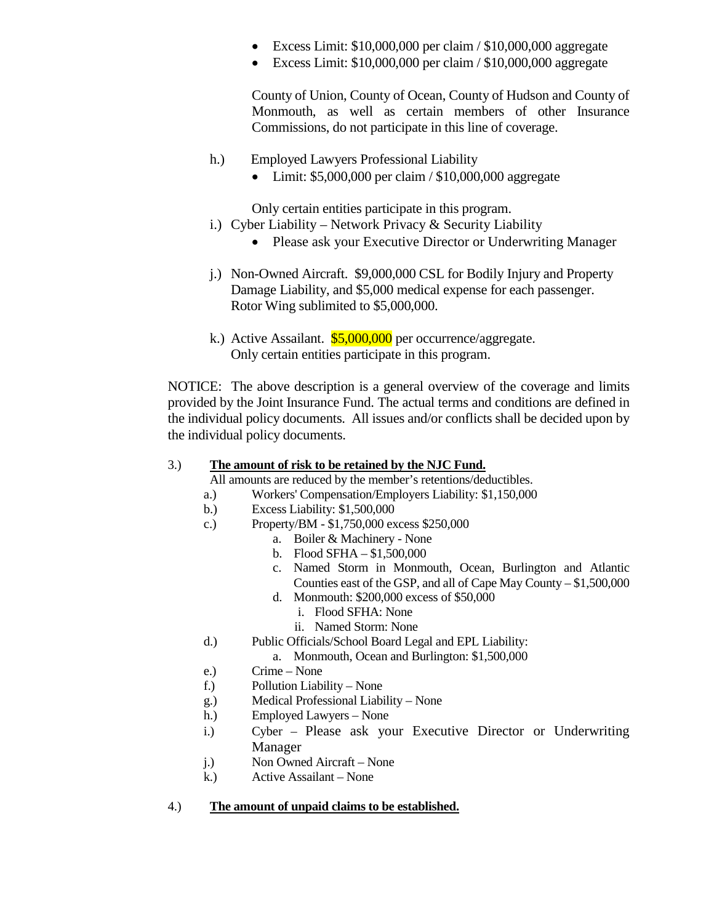- Excess Limit: \$10,000,000 per claim / \$10,000,000 aggregate
- Excess Limit: \$10,000,000 per claim / \$10,000,000 aggregate

County of Union, County of Ocean, County of Hudson and County of Monmouth, as well as certain members of other Insurance Commissions, do not participate in this line of coverage.

- h.) Employed Lawyers Professional Liability
	- Limit: \$5,000,000 per claim / \$10,000,000 aggregate

Only certain entities participate in this program.

- i.) Cyber Liability Network Privacy & Security Liability
	- Please ask your Executive Director or Underwriting Manager
- j.) Non-Owned Aircraft. \$9,000,000 CSL for Bodily Injury and Property Damage Liability, and \$5,000 medical expense for each passenger. Rotor Wing sublimited to \$5,000,000.
- k.) Active Assailant.  $$5,000,000$  per occurrence/aggregate. Only certain entities participate in this program.

NOTICE: The above description is a general overview of the coverage and limits provided by the Joint Insurance Fund. The actual terms and conditions are defined in the individual policy documents. All issues and/or conflicts shall be decided upon by the individual policy documents.

# 3.) **The amount of risk to be retained by the NJC Fund.**

All amounts are reduced by the member's retentions/deductibles.

- a.) Workers' Compensation/Employers Liability: \$1,150,000
- b.) Excess Liability: \$1,500,000
- c.) Property/BM \$1,750,000 excess \$250,000
	- a. Boiler & Machinery None
	- b. Flood SFHA \$1,500,000
	- c. Named Storm in Monmouth, Ocean, Burlington and Atlantic Counties east of the GSP, and all of Cape May County – \$1,500,000
	- d. Monmouth: \$200,000 excess of \$50,000
		- i. Flood SFHA: None
		- ii. Named Storm: None
- d.) Public Officials/School Board Legal and EPL Liability:
	- a. Monmouth, Ocean and Burlington: \$1,500,000
- e.) Crime None
- f.) Pollution Liability None
- g.) Medical Professional Liability None
- h.) Employed Lawyers None
- i.) Cyber Please ask your Executive Director or Underwriting Manager
- j.) Non Owned Aircraft None
- k.) Active Assailant None

### 4.) **The amount of unpaid claims to be established.**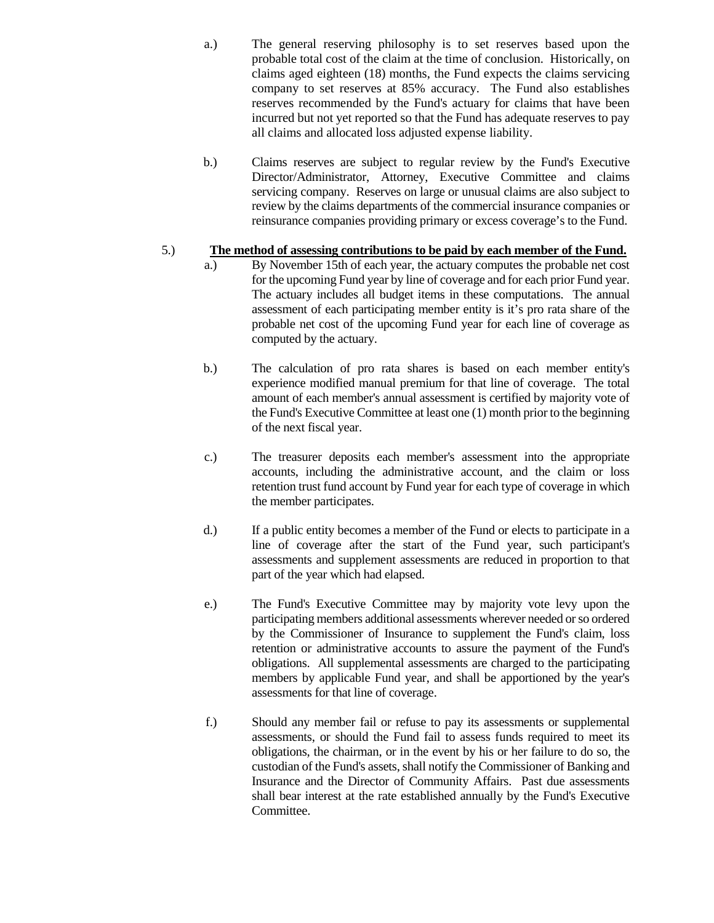- a.) The general reserving philosophy is to set reserves based upon the probable total cost of the claim at the time of conclusion. Historically, on claims aged eighteen (18) months, the Fund expects the claims servicing company to set reserves at 85% accuracy. The Fund also establishes reserves recommended by the Fund's actuary for claims that have been incurred but not yet reported so that the Fund has adequate reserves to pay all claims and allocated loss adjusted expense liability.
- b.) Claims reserves are subject to regular review by the Fund's Executive Director/Administrator, Attorney, Executive Committee and claims servicing company. Reserves on large or unusual claims are also subject to review by the claims departments of the commercial insurance companies or reinsurance companies providing primary or excess coverage's to the Fund.

# 5.) **The method of assessing contributions to be paid by each member of the Fund.**

- a.) By November 15th of each year, the actuary computes the probable net cost for the upcoming Fund year by line of coverage and for each prior Fund year. The actuary includes all budget items in these computations. The annual assessment of each participating member entity is it's pro rata share of the probable net cost of the upcoming Fund year for each line of coverage as computed by the actuary.
- b.) The calculation of pro rata shares is based on each member entity's experience modified manual premium for that line of coverage. The total amount of each member's annual assessment is certified by majority vote of the Fund's Executive Committee at least one (1) month prior to the beginning of the next fiscal year.
- c.) The treasurer deposits each member's assessment into the appropriate accounts, including the administrative account, and the claim or loss retention trust fund account by Fund year for each type of coverage in which the member participates.
- d.) If a public entity becomes a member of the Fund or elects to participate in a line of coverage after the start of the Fund year, such participant's assessments and supplement assessments are reduced in proportion to that part of the year which had elapsed.
- e.) The Fund's Executive Committee may by majority vote levy upon the participating members additional assessments wherever needed or so ordered by the Commissioner of Insurance to supplement the Fund's claim, loss retention or administrative accounts to assure the payment of the Fund's obligations. All supplemental assessments are charged to the participating members by applicable Fund year, and shall be apportioned by the year's assessments for that line of coverage.
- f.) Should any member fail or refuse to pay its assessments or supplemental assessments, or should the Fund fail to assess funds required to meet its obligations, the chairman, or in the event by his or her failure to do so, the custodian of the Fund's assets, shall notify the Commissioner of Banking and Insurance and the Director of Community Affairs. Past due assessments shall bear interest at the rate established annually by the Fund's Executive Committee.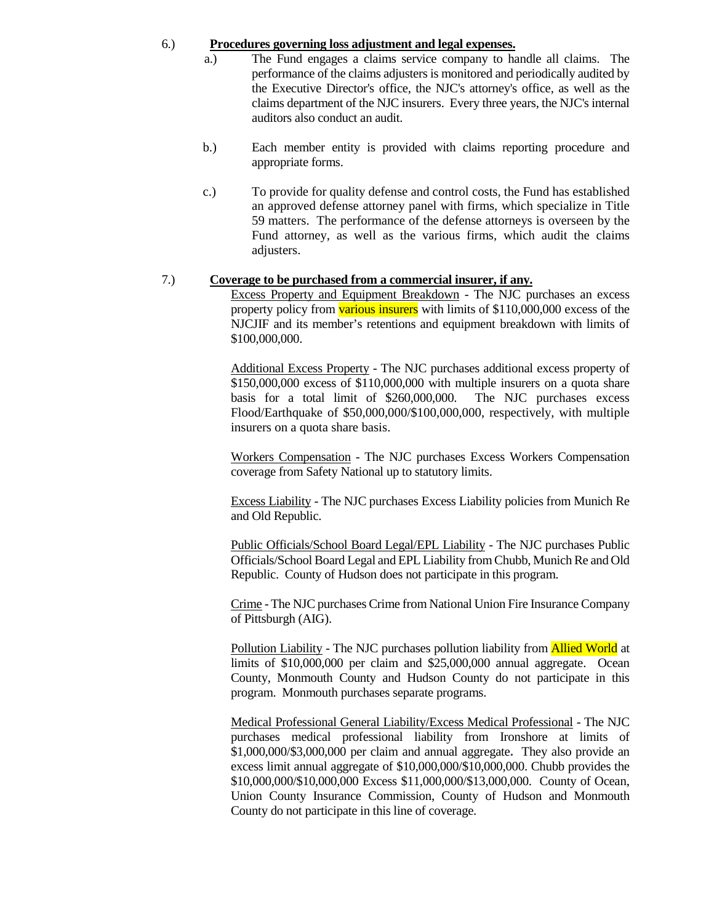#### 6.) **Procedures governing loss adjustment and legal expenses.**

- a.) The Fund engages a claims service company to handle all claims. The performance of the claims adjusters is monitored and periodically audited by the Executive Director's office, the NJC's attorney's office, as well as the claims department of the NJC insurers. Every three years, the NJC's internal auditors also conduct an audit.
- b.) Each member entity is provided with claims reporting procedure and appropriate forms.
- c.) To provide for quality defense and control costs, the Fund has established an approved defense attorney panel with firms, which specialize in Title 59 matters. The performance of the defense attorneys is overseen by the Fund attorney, as well as the various firms, which audit the claims adjusters.

#### 7.) **Coverage to be purchased from a commercial insurer, if any.**

Excess Property and Equipment Breakdown - The NJC purchases an excess property policy from **various insurers** with limits of \$110,000,000 excess of the NJCJIF and its member's retentions and equipment breakdown with limits of \$100,000,000.

Additional Excess Property - The NJC purchases additional excess property of \$150,000,000 excess of \$110,000,000 with multiple insurers on a quota share basis for a total limit of \$260,000,000. The NJC purchases excess Flood/Earthquake of \$50,000,000/\$100,000,000, respectively, with multiple insurers on a quota share basis.

Workers Compensation - The NJC purchases Excess Workers Compensation coverage from Safety National up to statutory limits.

Excess Liability - The NJC purchases Excess Liability policies from Munich Re and Old Republic.

Public Officials/School Board Legal/EPL Liability - The NJC purchases Public Officials/School Board Legal and EPL Liability from Chubb, Munich Re and Old Republic. County of Hudson does not participate in this program.

Crime - The NJC purchases Crime from National Union Fire Insurance Company of Pittsburgh (AIG).

Pollution Liability - The NJC purchases pollution liability from **Allied World** at limits of \$10,000,000 per claim and \$25,000,000 annual aggregate. Ocean County, Monmouth County and Hudson County do not participate in this program. Monmouth purchases separate programs.

Medical Professional General Liability/Excess Medical Professional - The NJC purchases medical professional liability from Ironshore at limits of \$1,000,000/\$3,000,000 per claim and annual aggregate**.** They also provide an excess limit annual aggregate of \$10,000,000/\$10,000,000. Chubb provides the \$10,000,000/\$10,000,000 Excess \$11,000,000/\$13,000,000. County of Ocean, Union County Insurance Commission, County of Hudson and Monmouth County do not participate in this line of coverage.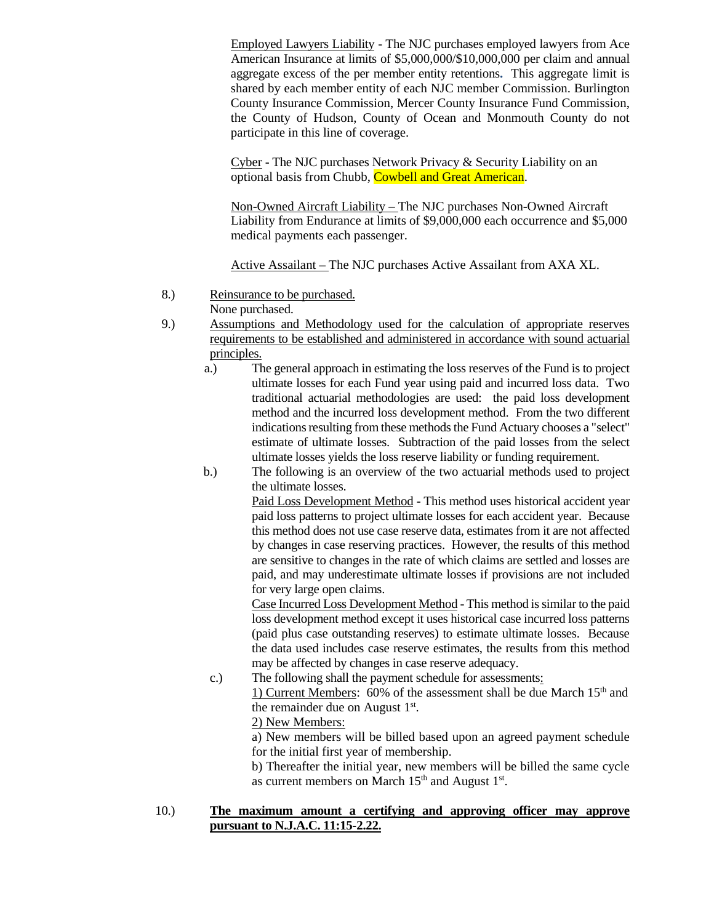Employed Lawyers Liability - The NJC purchases employed lawyers from Ace American Insurance at limits of \$5,000,000/\$10,000,000 per claim and annual aggregate excess of the per member entity retentions**.** This aggregate limit is shared by each member entity of each NJC member Commission. Burlington County Insurance Commission, Mercer County Insurance Fund Commission, the County of Hudson, County of Ocean and Monmouth County do not participate in this line of coverage.

Cyber - The NJC purchases Network Privacy & Security Liability on an optional basis from Chubb, Cowbell and Great American.

Non-Owned Aircraft Liability – The NJC purchases Non-Owned Aircraft Liability from Endurance at limits of \$9,000,000 each occurrence and \$5,000 medical payments each passenger.

Active Assailant – The NJC purchases Active Assailant from AXA XL.

- 8.) Reinsurance to be purchased. None purchased.
- 9.) Assumptions and Methodology used for the calculation of appropriate reserves requirements to be established and administered in accordance with sound actuarial principles.
	- a.) The general approach in estimating the loss reserves of the Fund is to project ultimate losses for each Fund year using paid and incurred loss data. Two traditional actuarial methodologies are used: the paid loss development method and the incurred loss development method. From the two different indications resulting from these methods the Fund Actuary chooses a "select" estimate of ultimate losses. Subtraction of the paid losses from the select ultimate losses yields the loss reserve liability or funding requirement.
	- b.) The following is an overview of the two actuarial methods used to project the ultimate losses.

Paid Loss Development Method - This method uses historical accident year paid loss patterns to project ultimate losses for each accident year. Because this method does not use case reserve data, estimates from it are not affected by changes in case reserving practices. However, the results of this method are sensitive to changes in the rate of which claims are settled and losses are paid, and may underestimate ultimate losses if provisions are not included for very large open claims.

Case Incurred Loss Development Method - This method is similar to the paid loss development method except it uses historical case incurred loss patterns (paid plus case outstanding reserves) to estimate ultimate losses. Because the data used includes case reserve estimates, the results from this method may be affected by changes in case reserve adequacy.

c.) The following shall the payment schedule for assessments: 1) Current Members: 60% of the assessment shall be due March  $15<sup>th</sup>$  and the remainder due on August  $1<sup>st</sup>$ . 2) New Members:

a) New members will be billed based upon an agreed payment schedule for the initial first year of membership.

b) Thereafter the initial year, new members will be billed the same cycle as current members on March  $15<sup>th</sup>$  and August  $1<sup>st</sup>$ .

10.) **The maximum amount a certifying and approving officer may approve pursuant to N.J.A.C. 11:15-2.22.**